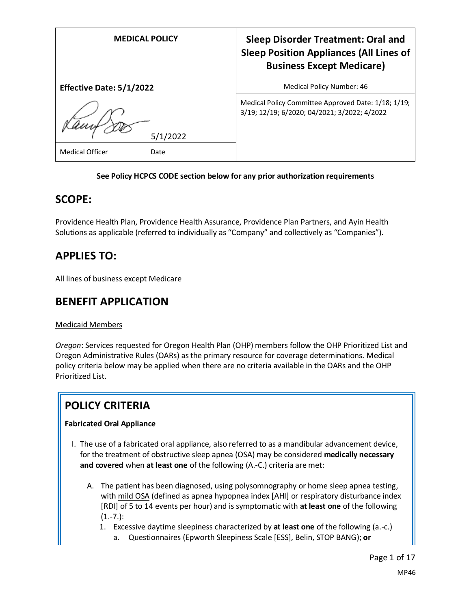| <b>MEDICAL POLICY</b>           | <b>Sleep Disorder Treatment: Oral and</b><br><b>Sleep Position Appliances (All Lines of</b><br><b>Business Except Medicare)</b> |
|---------------------------------|---------------------------------------------------------------------------------------------------------------------------------|
| <b>Effective Date: 5/1/2022</b> | Medical Policy Number: 46                                                                                                       |
| 5/1/2022                        | Medical Policy Committee Approved Date: 1/18; 1/19;<br>3/19; 12/19; 6/2020; 04/2021; 3/2022; 4/2022                             |
| Medical Officer<br>Date         |                                                                                                                                 |

### **See Policy HCPCS CODE section below for any prior authorization requirements**

## **SCOPE:**

Providence Health Plan, Providence Health Assurance, Providence Plan Partners, and Ayin Health Solutions as applicable (referred to individually as "Company" and collectively as "Companies").

## **APPLIES TO:**

All lines of business except Medicare

## **BENEFIT APPLICATION**

#### Medicaid Members

*Oregon*: Services requested for Oregon Health Plan (OHP) members follow the OHP Prioritized List and Oregon Administrative Rules (OARs) as the primary resource for coverage determinations. Medical policy criteria below may be applied when there are no criteria available in the OARs and the OHP Prioritized List.

# **POLICY CRITERIA**

#### **Fabricated Oral Appliance**

- I. The use of a fabricated oral appliance, also referred to as a mandibular advancement device, for the treatment of obstructive sleep apnea (OSA) may be considered **medically necessary and covered** when **at least one** of the following (A.-C.) criteria are met:
	- A. The patient has been diagnosed, using polysomnography or home sleep apnea testing, with mild OSA (defined as apnea hypopnea index [AHI] or respiratory disturbance index [RDI] of 5 to 14 events per hour) and is symptomatic with **at least one** of the following (1.-7.):
		- 1. Excessive daytime sleepiness characterized by **at least one** of the following (a.-c.)
			- a. Questionnaires (Epworth Sleepiness Scale [ESS], Belin, STOP BANG); **or**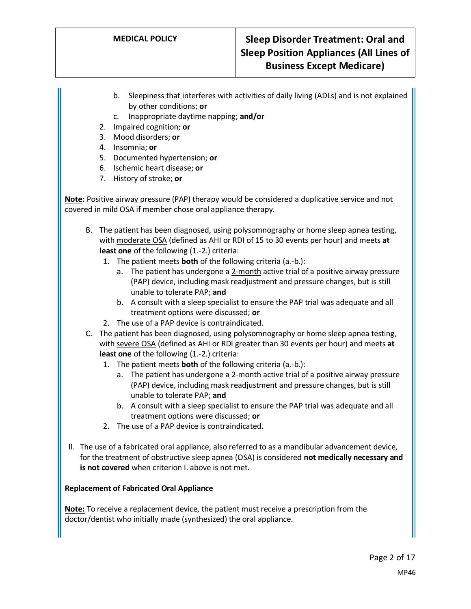- b. Sleepiness that interferes with activities of daily living (ADLs) and is not explained by other conditions; **or**
- c. Inappropriate daytime napping; **and/or**
- 2. Impaired cognition; **or**
- 3. Mood disorders; **or**
- 4. Insomnia; **or**
- 5. Documented hypertension; **or**
- 6. Ischemic heart disease; **or**
- 7. History of stroke; **or**

**Note:** Positive airway pressure (PAP) therapy would be considered a duplicative service and not covered in mild OSA if member chose oral appliance therapy.

- B. The patient has been diagnosed, using polysomnography or home sleep apnea testing, with moderate OSA (defined as AHI or RDI of 15 to 30 events per hour) and meets **at least one** of the following (1.-2.) criteria:
	- 1. The patient meets **both** of the following criteria (a.-b.):
		- a. The patient has undergone a 2-month active trial of a positive airway pressure (PAP) device, including mask readjustment and pressure changes, but is still unable to tolerate PAP; **and**
		- b. A consult with a sleep specialist to ensure the PAP trial was adequate and all treatment options were discussed; **or**
	- 2. The use of a PAP device is contraindicated.
- C. The patient has been diagnosed, using polysomnography or home sleep apnea testing, with severe OSA (defined as AHI or RDI greater than 30 events per hour) and meets **at least one** of the following (1.-2.) criteria:
	- 1. The patient meets **both** of the following criteria (a.-b.):
		- a. The patient has undergone a 2-month active trial of a positive airway pressure (PAP) device, including mask readjustment and pressure changes, but is still unable to tolerate PAP; **and**
		- b. A consult with a sleep specialist to ensure the PAP trial was adequate and all treatment options were discussed; **or**
	- 2. The use of a PAP device is contraindicated.
- II. The use of a fabricated oral appliance, also referred to as a mandibular advancement device, for the treatment of obstructive sleep apnea (OSA) is considered **not medically necessary and is not covered** when criterion I. above is not met.

#### **Replacement of Fabricated Oral Appliance**

**Note:** To receive a replacement device, the patient must receive a prescription from the doctor/dentist who initially made (synthesized) the oral appliance.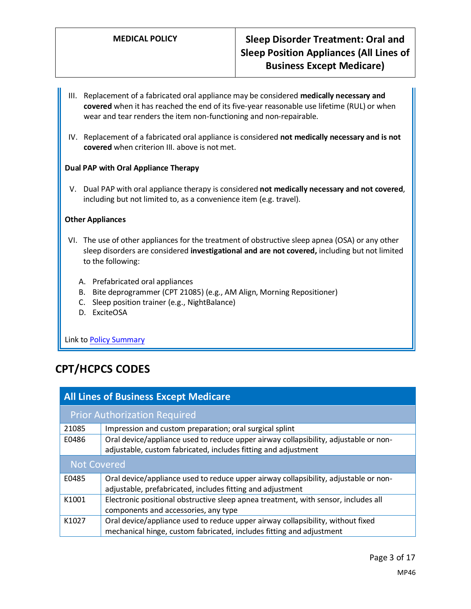- III. Replacement of a fabricated oral appliance may be considered **medically necessary and covered** when it has reached the end of its five-year reasonable use lifetime (RUL) or when wear and tear renders the item non-functioning and non-repairable.
- IV. Replacement of a fabricated oral appliance is considered **not medically necessary and is not covered** when criterion III. above is not met.

#### **Dual PAP with Oral Appliance Therapy**

V. Dual PAP with oral appliance therapy is considered **not medically necessary and not covered**, including but not limited to, as a convenience item (e.g. travel).

#### **Other Appliances**

- VI. The use of other appliances for the treatment of obstructive sleep apnea (OSA) or any other sleep disorders are considered **investigational and are not covered,** including but not limited to the following:
	- A. Prefabricated oral appliances
	- B. Bite deprogrammer (CPT 21085) (e.g., AM Align, Morning Repositioner)
	- C. Sleep position trainer (e.g., NightBalance)
	- D. ExciteOSA

Link to **Policy Summary** 

# **CPT/HCPCS CODES**

| <b>All Lines of Business Except Medicare</b> |                                                                                                                                                        |
|----------------------------------------------|--------------------------------------------------------------------------------------------------------------------------------------------------------|
|                                              | <b>Prior Authorization Required</b>                                                                                                                    |
| 21085                                        | Impression and custom preparation; oral surgical splint                                                                                                |
| E0486                                        | Oral device/appliance used to reduce upper airway collapsibility, adjustable or non-<br>adjustable, custom fabricated, includes fitting and adjustment |
| <b>Not Covered</b>                           |                                                                                                                                                        |
| E0485                                        | Oral device/appliance used to reduce upper airway collapsibility, adjustable or non-                                                                   |
|                                              | adjustable, prefabricated, includes fitting and adjustment                                                                                             |
| K1001                                        | Electronic positional obstructive sleep apnea treatment, with sensor, includes all                                                                     |
|                                              | components and accessories, any type                                                                                                                   |
| K1027                                        | Oral device/appliance used to reduce upper airway collapsibility, without fixed                                                                        |
|                                              | mechanical hinge, custom fabricated, includes fitting and adjustment                                                                                   |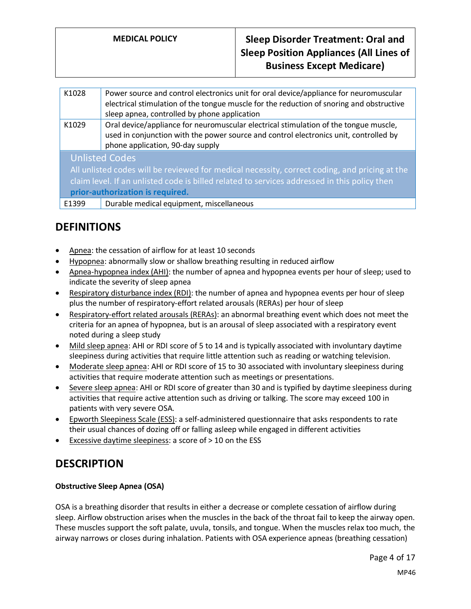| K1028                                                                                         | Power source and control electronics unit for oral device/appliance for neuromuscular<br>electrical stimulation of the tongue muscle for the reduction of snoring and obstructive<br>sleep apnea, controlled by phone application |
|-----------------------------------------------------------------------------------------------|-----------------------------------------------------------------------------------------------------------------------------------------------------------------------------------------------------------------------------------|
| K1029                                                                                         | Oral device/appliance for neuromuscular electrical stimulation of the tongue muscle,<br>used in conjunction with the power source and control electronics unit, controlled by<br>phone application, 90-day supply                 |
| <b>Unlisted Codes</b>                                                                         |                                                                                                                                                                                                                                   |
| All unlisted codes will be reviewed for medical necessity, correct coding, and pricing at the |                                                                                                                                                                                                                                   |
| claim level. If an unlisted code is billed related to services addressed in this policy then  |                                                                                                                                                                                                                                   |
| prior-authorization is required.                                                              |                                                                                                                                                                                                                                   |
| E1399                                                                                         | Durable medical equipment, miscellaneous                                                                                                                                                                                          |

# **DEFINITIONS**

- Apnea: the cessation of airflow for at least 10 seconds
- Hypopnea: abnormally slow or shallow breathing resulting in reduced airflow
- Apnea-hypopnea index (AHI): the number of apnea and hypopnea events per hour of sleep; used to indicate the severity of sleep apnea
- Respiratory disturbance index (RDI): the number of apnea and hypopnea events per hour of sleep plus the number of respiratory-effort related arousals (RERAs) per hour of sleep
- Respiratory-effort related arousals (RERAs): an abnormal breathing event which does not meet the criteria for an apnea of hypopnea, but is an arousal of sleep associated with a respiratory event noted during a sleep study
- Mild sleep apnea: AHI or RDI score of 5 to 14 and is typically associated with involuntary daytime sleepiness during activities that require little attention such as reading or watching television.
- Moderate sleep apnea: AHI or RDI score of 15 to 30 associated with involuntary sleepiness during activities that require moderate attention such as meetings or presentations.
- Severe sleep apnea: AHI or RDI score of greater than 30 and is typified by daytime sleepiness during activities that require active attention such as driving or talking. The score may exceed 100 in patients with very severe OSA.
- Epworth Sleepiness Scale (ESS): a self-administered questionnaire that asks respondents to rate their usual chances of dozing off or falling asleep while engaged in different activities
- Excessive daytime sleepiness: a score of > 10 on the ESS

## **DESCRIPTION**

#### **Obstructive Sleep Apnea (OSA)**

OSA is a breathing disorder that results in either a decrease or complete cessation of airflow during sleep. Airflow obstruction arises when the muscles in the back of the throat fail to keep the airway open. These muscles support the soft palate, uvula, tonsils, and tongue. When the muscles relax too much, the airway narrows or closes during inhalation. Patients with OSA experience apneas (breathing cessation)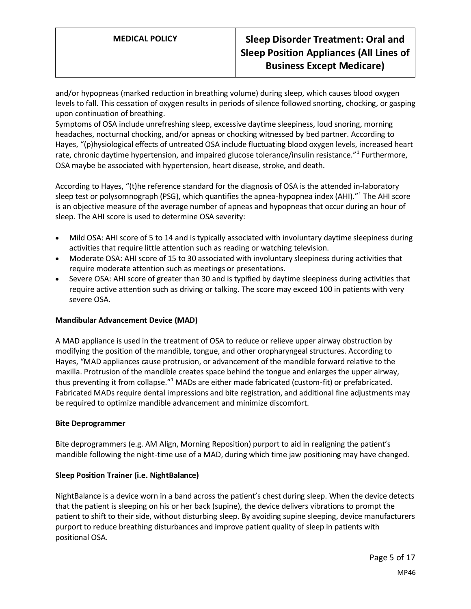and/or hypopneas (marked reduction in breathing volume) during sleep, which causes blood oxygen levels to fall. This cessation of oxygen results in periods of silence followed snorting, chocking, or gasping upon continuation of breathing.

Symptoms of OSA include unrefreshing sleep, excessive daytime sleepiness, loud snoring, morning headaches, nocturnal chocking, and/or apneas or chocking witnessed by bed partner. According to Hayes, "(p)hysiological effects of untreated OSA include fluctuating blood oxygen levels, increased heart rate, chronic daytime hypertension, and impaired glucose tolerance/insulin resistance."<sup>1</sup> Furthermore, OSA maybe be associated with hypertension, heart disease, stroke, and death.

According to Hayes, "(t)he reference standard for the diagnosis of OSA is the attended in-laboratory sleep test or polysomnograph (PSG), which quantifies the apnea-hypopnea index (AHI)."<sup>1</sup> The AHI score is an objective measure of the average number of apneas and hypopneas that occur during an hour of sleep. The AHI score is used to determine OSA severity:

- Mild OSA: AHI score of 5 to 14 and is typically associated with involuntary daytime sleepiness during activities that require little attention such as reading or watching television.
- Moderate OSA: AHI score of 15 to 30 associated with involuntary sleepiness during activities that require moderate attention such as meetings or presentations.
- Severe OSA: AHI score of greater than 30 and is typified by daytime sleepiness during activities that require active attention such as driving or talking. The score may exceed 100 in patients with very severe OSA.

#### **Mandibular Advancement Device (MAD)**

A MAD appliance is used in the treatment of OSA to reduce or relieve upper airway obstruction by modifying the position of the mandible, tongue, and other oropharyngeal structures. According to Hayes, "MAD appliances cause protrusion, or advancement of the mandible forward relative to the maxilla. Protrusion of the mandible creates space behind the tongue and enlarges the upper airway, thus preventing it from collapse."<sup>1</sup> MADs are either made fabricated (custom-fit) or prefabricated. Fabricated MADs require dental impressions and bite registration, and additional fine adjustments may be required to optimize mandible advancement and minimize discomfort.

#### **Bite Deprogrammer**

Bite deprogrammers (e.g. AM Align, Morning Reposition) purport to aid in realigning the patient's mandible following the night-time use of a MAD, during which time jaw positioning may have changed.

#### **Sleep Position Trainer (i.e. NightBalance)**

NightBalance is a device worn in a band across the patient's chest during sleep. When the device detects that the patient is sleeping on his or her back (supine), the device delivers vibrations to prompt the patient to shift to their side, without disturbing sleep. By avoiding supine sleeping, device manufacturers purport to reduce breathing disturbances and improve patient quality of sleep in patients with positional OSA.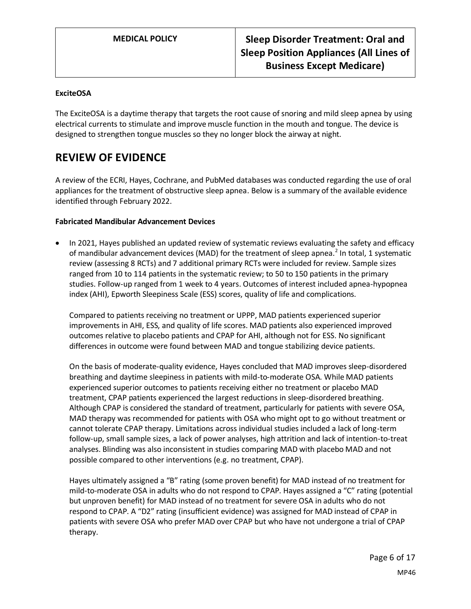#### **ExciteOSA**

The ExciteOSA is a daytime therapy that targets the root cause of snoring and mild sleep apnea by using electrical currents to stimulate and improve muscle function in the mouth and tongue. The device is designed to strengthen tongue muscles so they no longer block the airway at night.

## **REVIEW OF EVIDENCE**

A review of the ECRI, Hayes, Cochrane, and PubMed databases was conducted regarding the use of oral appliances for the treatment of obstructive sleep apnea. Below is a summary of the available evidence identified through February 2022.

#### **Fabricated Mandibular Advancement Devices**

• In 2021, Hayes published an updated review of systematic reviews evaluating the safety and efficacy of mandibular advancement devices (MAD) for the treatment of sleep apnea.<sup>2</sup> In total, 1 systematic review (assessing 8 RCTs) and 7 additional primary RCTs were included for review. Sample sizes ranged from 10 to 114 patients in the systematic review; to 50 to 150 patients in the primary studies. Follow-up ranged from 1 week to 4 years. Outcomes of interest included apnea-hypopnea index (AHI), Epworth Sleepiness Scale (ESS) scores, quality of life and complications.

Compared to patients receiving no treatment or UPPP, MAD patients experienced superior improvements in AHI, ESS, and quality of life scores. MAD patients also experienced improved outcomes relative to placebo patients and CPAP for AHI, although not for ESS. No significant differences in outcome were found between MAD and tongue stabilizing device patients.

On the basis of moderate-quality evidence, Hayes concluded that MAD improves sleep-disordered breathing and daytime sleepiness in patients with mild-to-moderate OSA. While MAD patients experienced superior outcomes to patients receiving either no treatment or placebo MAD treatment, CPAP patients experienced the largest reductions in sleep-disordered breathing. Although CPAP is considered the standard of treatment, particularly for patients with severe OSA, MAD therapy was recommended for patients with OSA who might opt to go without treatment or cannot tolerate CPAP therapy. Limitations across individual studies included a lack of long-term follow-up, small sample sizes, a lack of power analyses, high attrition and lack of intention-to-treat analyses. Blinding was also inconsistent in studies comparing MAD with placebo MAD and not possible compared to other interventions (e.g. no treatment, CPAP).

Hayes ultimately assigned a "B" rating (some proven benefit) for MAD instead of no treatment for mild-to-moderate OSA in adults who do not respond to CPAP. Hayes assigned a "C" rating (potential but unproven benefit) for MAD instead of no treatment for severe OSA in adults who do not respond to CPAP. A "D2" rating (insufficient evidence) was assigned for MAD instead of CPAP in patients with severe OSA who prefer MAD over CPAP but who have not undergone a trial of CPAP therapy.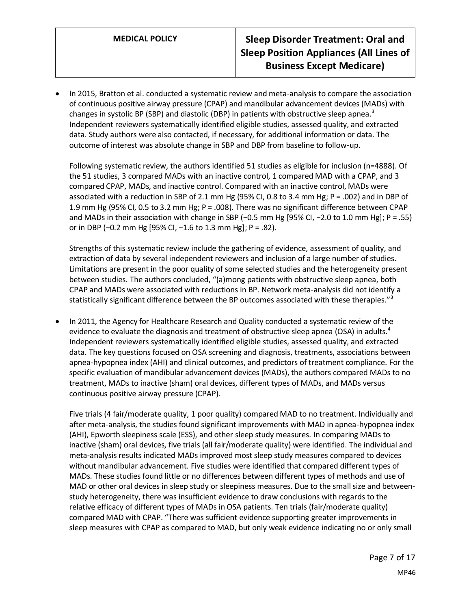• In 2015, Bratton et al. conducted a systematic review and meta-analysis to compare the association of continuous positive airway pressure (CPAP) and mandibular advancement devices (MADs) with changes in systolic BP (SBP) and diastolic (DBP) in patients with obstructive sleep apnea.<sup>3</sup> Independent reviewers systematically identified eligible studies, assessed quality, and extracted data. Study authors were also contacted, if necessary, for additional information or data. The outcome of interest was absolute change in SBP and DBP from baseline to follow-up.

Following systematic review, the authors identified 51 studies as eligible for inclusion (n=4888). Of the 51 studies, 3 compared MADs with an inactive control, 1 compared MAD with a CPAP, and 3 compared CPAP, MADs, and inactive control. Compared with an inactive control, MADs were associated with a reduction in SBP of 2.1 mm Hg (95% CI, 0.8 to 3.4 mm Hg; P = .002) and in DBP of 1.9 mm Hg (95% CI, 0.5 to 3.2 mm Hg; P = .008). There was no significant difference between CPAP and MADs in their association with change in SBP (−0.5 mm Hg [95% CI, −2.0 to 1.0 mm Hg]; P = .55) or in DBP (−0.2 mm Hg [95% CI, −1.6 to 1.3 mm Hg]; P = .82).

Strengths of this systematic review include the gathering of evidence, assessment of quality, and extraction of data by several independent reviewers and inclusion of a large number of studies. Limitations are present in the poor quality of some selected studies and the heterogeneity present between studies. The authors concluded, "(a)mong patients with obstructive sleep apnea, both CPAP and MADs were associated with reductions in BP. Network meta-analysis did not identify a statistically significant difference between the BP outcomes associated with these therapies."<sup>3</sup>

• In 2011, the Agency for Healthcare Research and Quality conducted a systematic review of the evidence to evaluate the diagnosis and treatment of obstructive sleep apnea (OSA) in adults.<sup>4</sup> Independent reviewers systematically identified eligible studies, assessed quality, and extracted data. The key questions focused on OSA screening and diagnosis, treatments, associations between apnea-hypopnea index (AHI) and clinical outcomes, and predictors of treatment compliance. For the specific evaluation of mandibular advancement devices (MADs), the authors compared MADs to no treatment, MADs to inactive (sham) oral devices, different types of MADs, and MADs versus continuous positive airway pressure (CPAP).

Five trials (4 fair/moderate quality, 1 poor quality) compared MAD to no treatment. Individually and after meta-analysis, the studies found significant improvements with MAD in apnea-hypopnea index (AHI), Epworth sleepiness scale (ESS), and other sleep study measures. In comparing MADs to inactive (sham) oral devices, five trials (all fair/moderate quality) were identified. The individual and meta-analysis results indicated MADs improved most sleep study measures compared to devices without mandibular advancement. Five studies were identified that compared different types of MADs. These studies found little or no differences between different types of methods and use of MAD or other oral devices in sleep study or sleepiness measures. Due to the small size and betweenstudy heterogeneity, there was insufficient evidence to draw conclusions with regards to the relative efficacy of different types of MADs in OSA patients. Ten trials (fair/moderate quality) compared MAD with CPAP. "There was sufficient evidence supporting greater improvements in sleep measures with CPAP as compared to MAD, but only weak evidence indicating no or only small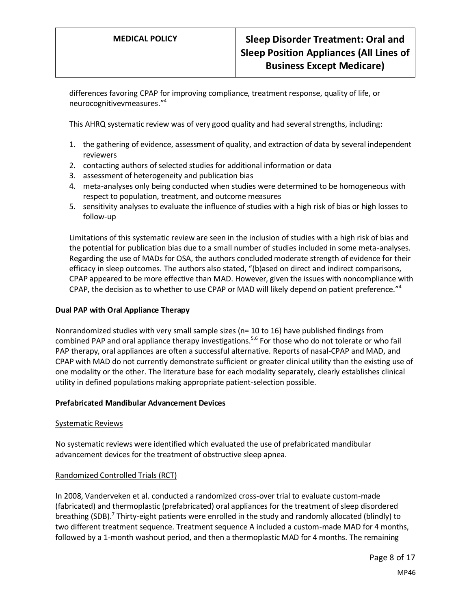differences favoring CPAP for improving compliance, treatment response, quality of life, or neurocognitivevmeasures."<sup>4</sup>

This AHRQ systematic review was of very good quality and had several strengths, including:

- 1. the gathering of evidence, assessment of quality, and extraction of data by several independent reviewers
- 2. contacting authors of selected studies for additional information or data
- 3. assessment of heterogeneity and publication bias
- 4. meta-analyses only being conducted when studies were determined to be homogeneous with respect to population, treatment, and outcome measures
- 5. sensitivity analyses to evaluate the influence of studies with a high risk of bias or high losses to follow-up

Limitations of this systematic review are seen in the inclusion of studies with a high risk of bias and the potential for publication bias due to a small number of studies included in some meta-analyses. Regarding the use of MADs for OSA, the authors concluded moderate strength of evidence for their efficacy in sleep outcomes. The authors also stated, "(b)ased on direct and indirect comparisons, CPAP appeared to be more effective than MAD. However, given the issues with noncompliance with CPAP, the decision as to whether to use CPAP or MAD will likely depend on patient preference."<sup>4</sup>

#### **Dual PAP with Oral Appliance Therapy**

Nonrandomized studies with very small sample sizes (n= 10 to 16) have published findings from combined PAP and oral appliance therapy investigations.<sup>5,6</sup> For those who do not tolerate or who fail PAP therapy, oral appliances are often a successful alternative. Reports of nasal-CPAP and MAD, and CPAP with MAD do not currently demonstrate sufficient or greater clinical utility than the existing use of one modality or the other. The literature base for each modality separately, clearly establishes clinical utility in defined populations making appropriate patient-selection possible.

#### **Prefabricated Mandibular Advancement Devices**

#### Systematic Reviews

No systematic reviews were identified which evaluated the use of prefabricated mandibular advancement devices for the treatment of obstructive sleep apnea.

#### Randomized Controlled Trials (RCT)

In 2008, Vanderveken et al. conducted a randomized cross-over trial to evaluate custom-made (fabricated) and thermoplastic (prefabricated) oral appliances for the treatment of sleep disordered breathing (SDB).<sup>7</sup> Thirty-eight patients were enrolled in the study and randomly allocated (blindly) to two different treatment sequence. Treatment sequence A included a custom-made MAD for 4 months, followed by a 1-month washout period, and then a thermoplastic MAD for 4 months. The remaining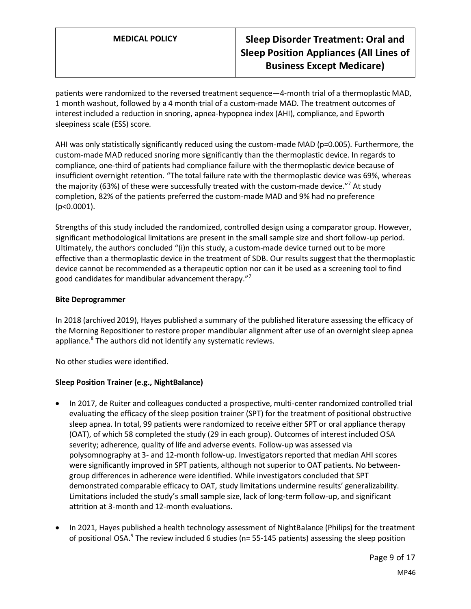patients were randomized to the reversed treatment sequence—4-month trial of a thermoplastic MAD, 1 month washout, followed by a 4 month trial of a custom-made MAD. The treatment outcomes of interest included a reduction in snoring, apnea-hypopnea index (AHI), compliance, and Epworth sleepiness scale (ESS) score.

AHI was only statistically significantly reduced using the custom-made MAD (p=0.005). Furthermore, the custom-made MAD reduced snoring more significantly than the thermoplastic device. In regards to compliance, one-third of patients had compliance failure with the thermoplastic device because of insufficient overnight retention. "The total failure rate with the thermoplastic device was 69%, whereas the majority (63%) of these were successfully treated with the custom-made device."<sup>7</sup> At study completion, 82% of the patients preferred the custom-made MAD and 9% had no preference (p<0.0001).

Strengths of this study included the randomized, controlled design using a comparator group. However, significant methodological limitations are present in the small sample size and short follow-up period. Ultimately, the authors concluded "(i)n this study, a custom-made device turned out to be more effective than a thermoplastic device in the treatment of SDB. Our results suggest that the thermoplastic device cannot be recommended as a therapeutic option nor can it be used as a screening tool to find good candidates for mandibular advancement therapy."<sup>7</sup>

#### **Bite Deprogrammer**

In 2018 (archived 2019), Hayes published a summary of the published literature assessing the efficacy of the Morning Repositioner to restore proper mandibular alignment after use of an overnight sleep apnea appliance.<sup>8</sup> The authors did not identify any systematic reviews.

No other studies were identified.

#### **Sleep Position Trainer (e.g., NightBalance)**

- In 2017, de Ruiter and colleagues conducted a prospective, multi-center randomized controlled trial evaluating the efficacy of the sleep position trainer (SPT) for the treatment of positional obstructive sleep apnea. In total, 99 patients were randomized to receive either SPT or oral appliance therapy (OAT), of which 58 completed the study (29 in each group). Outcomes of interest included OSA severity; adherence, quality of life and adverse events. Follow-up was assessed via polysomnography at 3- and 12-month follow-up. Investigators reported that median AHI scores were significantly improved in SPT patients, although not superior to OAT patients. No betweengroup differences in adherence were identified. While investigators concluded that SPT demonstrated comparable efficacy to OAT, study limitations undermine results' generalizability. Limitations included the study's small sample size, lack of long-term follow-up, and significant attrition at 3-month and 12-month evaluations.
- In 2021, Hayes published a health technology assessment of NightBalance (Philips) for the treatment of positional OSA.<sup>9</sup> The review included 6 studies (n= 55-145 patients) assessing the sleep position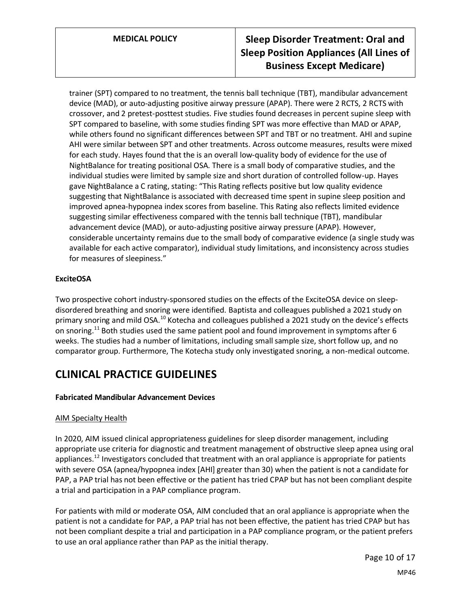trainer (SPT) compared to no treatment, the tennis ball technique (TBT), mandibular advancement device (MAD), or auto-adjusting positive airway pressure (APAP). There were 2 RCTS, 2 RCTS with crossover, and 2 pretest-posttest studies. Five studies found decreases in percent supine sleep with SPT compared to baseline, with some studies finding SPT was more effective than MAD or APAP, while others found no significant differences between SPT and TBT or no treatment. AHI and supine AHI were similar between SPT and other treatments. Across outcome measures, results were mixed for each study. Hayes found that the is an overall low-quality body of evidence for the use of NightBalance for treating positional OSA. There is a small body of comparative studies, and the individual studies were limited by sample size and short duration of controlled follow-up. Hayes gave NightBalance a C rating, stating: "This Rating reflects positive but low quality evidence suggesting that NightBalance is associated with decreased time spent in supine sleep position and improved apnea-hypopnea index scores from baseline. This Rating also reflects limited evidence suggesting similar effectiveness compared with the tennis ball technique (TBT), mandibular advancement device (MAD), or auto-adjusting positive airway pressure (APAP). However, considerable uncertainty remains due to the small body of comparative evidence (a single study was available for each active comparator), individual study limitations, and inconsistency across studies for measures of sleepiness."

### **ExciteOSA**

Two prospective cohort industry-sponsored studies on the effects of the ExciteOSA device on sleepdisordered breathing and snoring were identified. Baptista and colleagues published a 2021 study on primary snoring and mild OSA.<sup>10</sup> Kotecha and colleagues published a 2021 study on the device's effects on snoring.<sup>11</sup> Both studies used the same patient pool and found improvement in symptoms after 6 weeks. The studies had a number of limitations, including small sample size, short follow up, and no comparator group. Furthermore, The Kotecha study only investigated snoring, a non-medical outcome.

## **CLINICAL PRACTICE GUIDELINES**

#### **Fabricated Mandibular Advancement Devices**

#### AIM Specialty Health

In 2020, AIM issued clinical appropriateness guidelines for sleep disorder management, including appropriate use criteria for diagnostic and treatment management of obstructive sleep apnea using oral appliances.<sup>12</sup> Investigators concluded that treatment with an oral appliance is appropriate for patients with severe OSA (apnea/hypopnea index [AHI] greater than 30) when the patient is not a candidate for PAP, a PAP trial has not been effective or the patient has tried CPAP but has not been compliant despite a trial and participation in a PAP compliance program.

For patients with mild or moderate OSA, AIM concluded that an oral appliance is appropriate when the patient is not a candidate for PAP, a PAP trial has not been effective, the patient has tried CPAP but has not been compliant despite a trial and participation in a PAP compliance program, or the patient prefers to use an oral appliance rather than PAP as the initial therapy.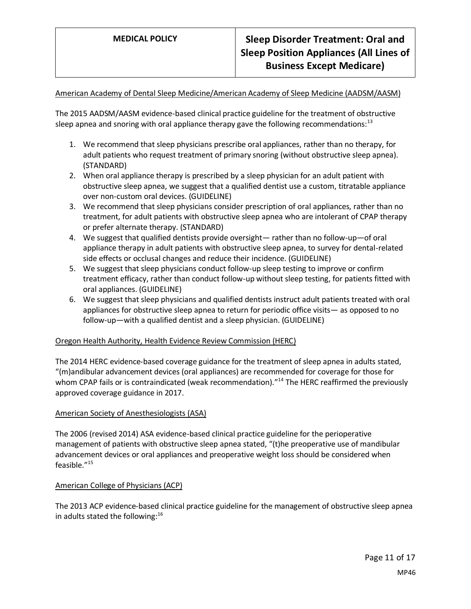#### American Academy of Dental Sleep Medicine/American Academy of Sleep Medicine (AADSM/AASM)

The 2015 AADSM/AASM evidence-based clinical practice guideline for the treatment of obstructive sleep apnea and snoring with oral appliance therapy gave the following recommendations: $^{13}$ 

- 1. We recommend that sleep physicians prescribe oral appliances, rather than no therapy, for adult patients who request treatment of primary snoring (without obstructive sleep apnea). (STANDARD)
- 2. When oral appliance therapy is prescribed by a sleep physician for an adult patient with obstructive sleep apnea, we suggest that a qualified dentist use a custom, titratable appliance over non-custom oral devices. (GUIDELINE)
- 3. We recommend that sleep physicians consider prescription of oral appliances, rather than no treatment, for adult patients with obstructive sleep apnea who are intolerant of CPAP therapy or prefer alternate therapy. (STANDARD)
- 4. We suggest that qualified dentists provide oversight— rather than no follow-up—of oral appliance therapy in adult patients with obstructive sleep apnea, to survey for dental-related side effects or occlusal changes and reduce their incidence. (GUIDELINE)
- 5. We suggest that sleep physicians conduct follow-up sleep testing to improve or confirm treatment efficacy, rather than conduct follow-up without sleep testing, for patients fitted with oral appliances. (GUIDELINE)
- 6. We suggest that sleep physicians and qualified dentists instruct adult patients treated with oral appliances for obstructive sleep apnea to return for periodic office visits— as opposed to no follow-up—with a qualified dentist and a sleep physician. (GUIDELINE)

#### Oregon Health Authority, Health Evidence Review Commission (HERC)

The 2014 HERC evidence-based coverage guidance for the treatment of sleep apnea in adults stated, "(m)andibular advancement devices (oral appliances) are recommended for coverage for those for whom CPAP fails or is contraindicated (weak recommendation)."<sup>14</sup> The HERC reaffirmed the previously approved coverage guidance in 2017.

#### American Society of Anesthesiologists (ASA)

The 2006 (revised 2014) ASA evidence-based clinical practice guideline for the perioperative management of patients with obstructive sleep apnea stated, "(t)he preoperative use of mandibular advancement devices or oral appliances and preoperative weight loss should be considered when feasible." 15

#### American College of Physicians (ACP)

The 2013 ACP evidence-based clinical practice guideline for the management of obstructive sleep apnea in adults stated the following: $16$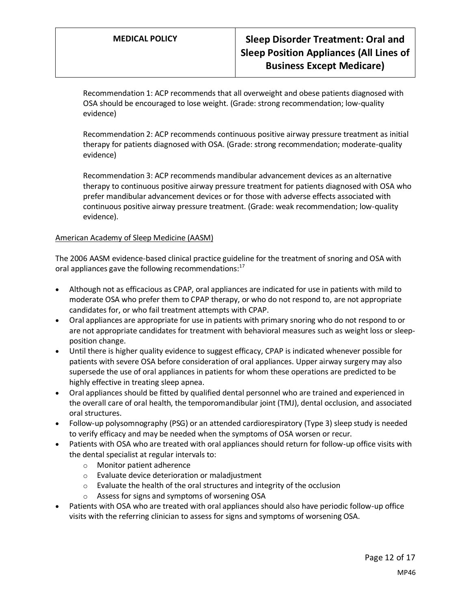Recommendation 1: ACP recommends that all overweight and obese patients diagnosed with OSA should be encouraged to lose weight. (Grade: strong recommendation; low-quality evidence)

Recommendation 2: ACP recommends continuous positive airway pressure treatment as initial therapy for patients diagnosed with OSA. (Grade: strong recommendation; moderate-quality evidence)

Recommendation 3: ACP recommends mandibular advancement devices as an alternative therapy to continuous positive airway pressure treatment for patients diagnosed with OSA who prefer mandibular advancement devices or for those with adverse effects associated with continuous positive airway pressure treatment. (Grade: weak recommendation; low-quality evidence).

#### American Academy of Sleep Medicine (AASM)

The 2006 AASM evidence-based clinical practice guideline for the treatment of snoring and OSA with oral appliances gave the following recommendations:<sup>17</sup>

- Although not as efficacious as CPAP, oral appliances are indicated for use in patients with mild to moderate OSA who prefer them to CPAP therapy, or who do not respond to, are not appropriate candidates for, or who fail treatment attempts with CPAP.
- Oral appliances are appropriate for use in patients with primary snoring who do not respond to or are not appropriate candidates for treatment with behavioral measures such as weight loss or sleepposition change.
- Until there is higher quality evidence to suggest efficacy, CPAP is indicated whenever possible for patients with severe OSA before consideration of oral appliances. Upper airway surgery may also supersede the use of oral appliances in patients for whom these operations are predicted to be highly effective in treating sleep apnea.
- Oral appliances should be fitted by qualified dental personnel who are trained and experienced in the overall care of oral health, the temporomandibular joint (TMJ), dental occlusion, and associated oral structures.
- Follow-up polysomnography (PSG) or an attended cardiorespiratory (Type 3) sleep study is needed to verify efficacy and may be needed when the symptoms of OSA worsen or recur.
- Patients with OSA who are treated with oral appliances should return for follow-up office visits with the dental specialist at regular intervals to:
	- o Monitor patient adherence
	- o Evaluate device deterioration or maladjustment
	- $\circ$  Evaluate the health of the oral structures and integrity of the occlusion
	- o Assess for signs and symptoms of worsening OSA
- Patients with OSA who are treated with oral appliances should also have periodic follow-up office visits with the referring clinician to assess for signs and symptoms of worsening OSA.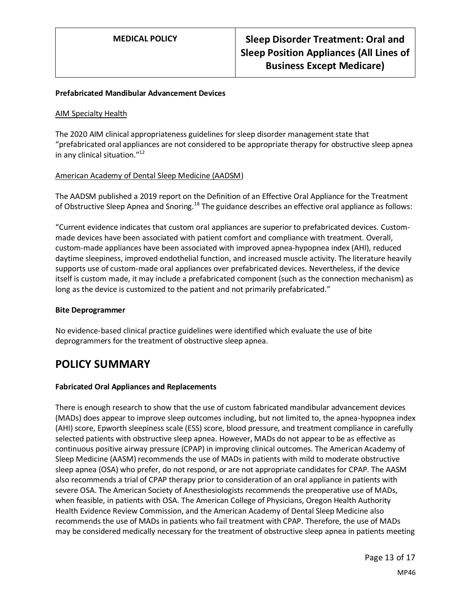#### **Prefabricated Mandibular Advancement Devices**

#### AIM Specialty Health

The 2020 AIM clinical appropriateness guidelines for sleep disorder management state that "prefabricated oral appliances are not considered to be appropriate therapy for obstructive sleep apnea in any clinical situation."<sup>12</sup>

#### American Academy of Dental Sleep Medicine (AADSM)

The AADSM published a 2019 report on the Definition of an Effective Oral Appliance for the Treatment of Obstructive Sleep Apnea and Snoring.<sup>18</sup> The guidance describes an effective oral appliance as follows:

"Current evidence indicates that custom oral appliances are superior to prefabricated devices. Custommade devices have been associated with patient comfort and compliance with treatment. Overall, custom-made appliances have been associated with improved apnea-hypopnea index (AHI), reduced daytime sleepiness, improved endothelial function, and increased muscle activity. The literature heavily supports use of custom-made oral appliances over prefabricated devices. Nevertheless, if the device itself is custom made, it may include a prefabricated component (such as the connection mechanism) as long as the device is customized to the patient and not primarily prefabricated."

#### **Bite Deprogrammer**

No evidence-based clinical practice guidelines were identified which evaluate the use of bite deprogrammers for the treatment of obstructive sleep apnea.

## <span id="page-12-0"></span>**POLICY SUMMARY**

#### **Fabricated Oral Appliances and Replacements**

There is enough research to show that the use of custom fabricated mandibular advancement devices (MADs) does appear to improve sleep outcomes including, but not limited to, the apnea-hypopnea index (AHI) score, Epworth sleepiness scale (ESS) score, blood pressure, and treatment compliance in carefully selected patients with obstructive sleep apnea. However, MADs do not appear to be as effective as continuous positive airway pressure (CPAP) in improving clinical outcomes. The American Academy of Sleep Medicine (AASM) recommends the use of MADs in patients with mild to moderate obstructive sleep apnea (OSA) who prefer, do not respond, or are not appropriate candidates for CPAP. The AASM also recommends a trial of CPAP therapy prior to consideration of an oral appliance in patients with severe OSA. The American Society of Anesthesiologists recommends the preoperative use of MADs, when feasible, in patients with OSA. The American College of Physicians, Oregon Health Authority Health Evidence Review Commission, and the American Academy of Dental Sleep Medicine also recommends the use of MADs in patients who fail treatment with CPAP. Therefore, the use of MADs may be considered medically necessary for the treatment of obstructive sleep apnea in patients meeting

> Page 13 of 17 MP46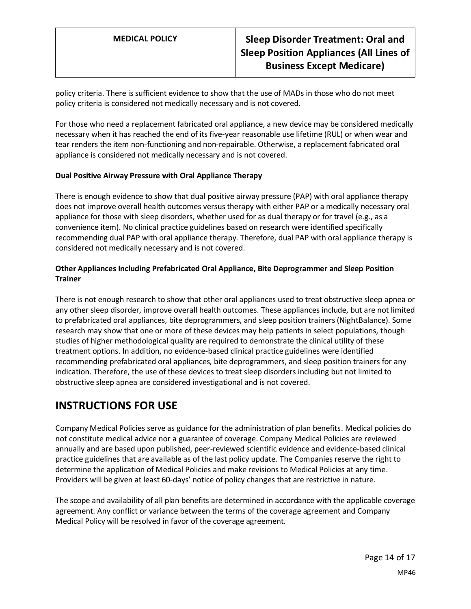policy criteria. There is sufficient evidence to show that the use of MADs in those who do not meet policy criteria is considered not medically necessary and is not covered.

For those who need a replacement fabricated oral appliance, a new device may be considered medically necessary when it has reached the end of its five-year reasonable use lifetime (RUL) or when wear and tear renders the item non-functioning and non-repairable. Otherwise, a replacement fabricated oral appliance is considered not medically necessary and is not covered.

#### **Dual Positive Airway Pressure with Oral Appliance Therapy**

There is enough evidence to show that dual positive airway pressure (PAP) with oral appliance therapy does not improve overall health outcomes versus therapy with either PAP or a medically necessary oral appliance for those with sleep disorders, whether used for as dual therapy or for travel (e.g., as a convenience item). No clinical practice guidelines based on research were identified specifically recommending dual PAP with oral appliance therapy. Therefore, dual PAP with oral appliance therapy is considered not medically necessary and is not covered.

### **Other Appliances Including Prefabricated Oral Appliance, Bite Deprogrammer and Sleep Position Trainer**

There is not enough research to show that other oral appliances used to treat obstructive sleep apnea or any other sleep disorder, improve overall health outcomes. These appliances include, but are not limited to prefabricated oral appliances, bite deprogrammers, and sleep position trainers (NightBalance). Some research may show that one or more of these devices may help patients in select populations, though studies of higher methodological quality are required to demonstrate the clinical utility of these treatment options. In addition, no evidence-based clinical practice guidelines were identified recommending prefabricated oral appliances, bite deprogrammers, and sleep position trainers for any indication. Therefore, the use of these devices to treat sleep disorders including but not limited to obstructive sleep apnea are considered investigational and is not covered.

# **INSTRUCTIONS FOR USE**

Company Medical Policies serve as guidance for the administration of plan benefits. Medical policies do not constitute medical advice nor a guarantee of coverage. Company Medical Policies are reviewed annually and are based upon published, peer-reviewed scientific evidence and evidence-based clinical practice guidelines that are available as of the last policy update. The Companies reserve the right to determine the application of Medical Policies and make revisions to Medical Policies at any time. Providers will be given at least 60-days' notice of policy changes that are restrictive in nature.

The scope and availability of all plan benefits are determined in accordance with the applicable coverage agreement. Any conflict or variance between the terms of the coverage agreement and Company Medical Policy will be resolved in favor of the coverage agreement.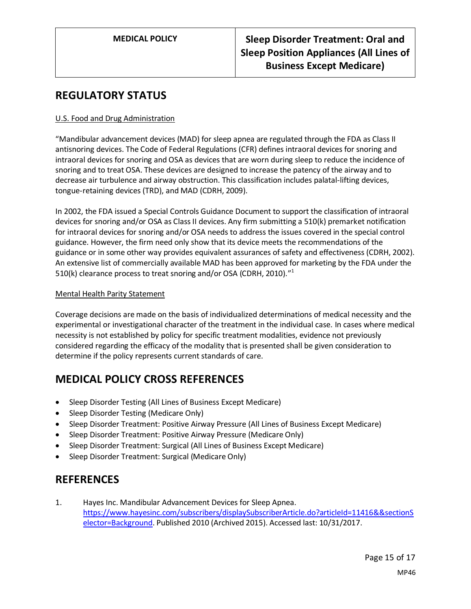## **REGULATORY STATUS**

### U.S. Food and Drug Administration

"Mandibular advancement devices (MAD) for sleep apnea are regulated through the FDA as Class II antisnoring devices. The Code of Federal Regulations (CFR) defines intraoral devices for snoring and intraoral devices for snoring and OSA as devices that are worn during sleep to reduce the incidence of snoring and to treat OSA. These devices are designed to increase the patency of the airway and to decrease air turbulence and airway obstruction. This classification includes palatal-lifting devices, tongue-retaining devices (TRD), and MAD (CDRH, 2009).

In 2002, the FDA issued a Special Controls Guidance Document to support the classification of intraoral devices for snoring and/or OSA as Class II devices. Any firm submitting a 510(k) premarket notification for intraoral devices for snoring and/or OSA needs to address the issues covered in the special control guidance. However, the firm need only show that its device meets the recommendations of the guidance or in some other way provides equivalent assurances of safety and effectiveness (CDRH, 2002). An extensive list of commercially available MAD has been approved for marketing by the FDA under the 510(k) clearance process to treat snoring and/or OSA (CDRH, 2010)."<sup>1</sup>

#### Mental Health Parity Statement

Coverage decisions are made on the basis of individualized determinations of medical necessity and the experimental or investigational character of the treatment in the individual case. In cases where medical necessity is not established by policy for specific treatment modalities, evidence not previously considered regarding the efficacy of the modality that is presented shall be given consideration to determine if the policy represents current standards of care.

# **MEDICAL POLICY CROSS REFERENCES**

- Sleep Disorder Testing (All Lines of Business Except Medicare)
- Sleep Disorder Testing (Medicare Only)
- Sleep Disorder Treatment: Positive Airway Pressure (All Lines of Business Except Medicare)
- Sleep Disorder Treatment: Positive Airway Pressure (Medicare Only)
- Sleep Disorder Treatment: Surgical (All Lines of Business Except Medicare)
- Sleep Disorder Treatment: Surgical (Medicare Only)

## **REFERENCES**

1. Hayes Inc. Mandibular Advancement Devices for Sleep Apnea. [https://www.hayesinc.com/subscribers/displaySubscriberArticle.do?articleId=11416&&sectionS](https://www.hayesinc.com/subscribers/displaySubscriberArticle.do?articleId=11416&§ionSelector=Background) [elector=Background.](https://www.hayesinc.com/subscribers/displaySubscriberArticle.do?articleId=11416&§ionSelector=Background) Published 2010 (Archived 2015). Accessed last: 10/31/2017.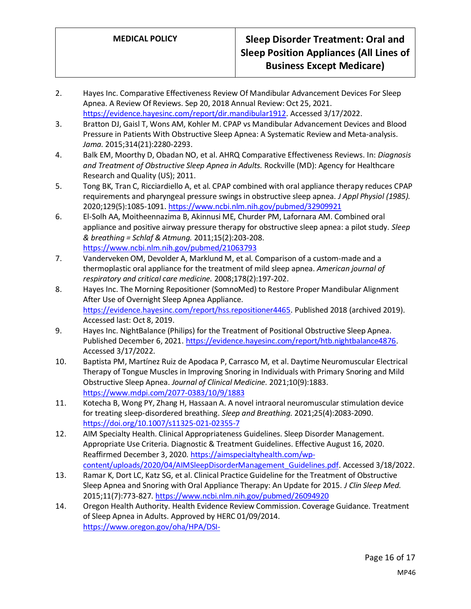- 2. Hayes Inc. Comparative Effectiveness Review Of Mandibular Advancement Devices For Sleep Apnea. A Review Of Reviews. Sep 20, 2018 Annual Review: Oct 25, 2021. [https://evidence.hayesinc.com/report/dir.mandibular1912.](https://evidence.hayesinc.com/report/dir.mandibular1912) Accessed 3/17/2022.
- 3. Bratton DJ, Gaisl T, Wons AM, Kohler M. CPAP vs Mandibular Advancement Devices and Blood Pressure in Patients With Obstructive Sleep Apnea: A Systematic Review and Meta-analysis. *Jama.* 2015;314(21):2280-2293.
- 4. Balk EM, Moorthy D, Obadan NO, et al. AHRQ Comparative Effectiveness Reviews. In: *Diagnosis and Treatment of Obstructive Sleep Apnea in Adults.* Rockville (MD): Agency for Healthcare Research and Quality (US); 2011.
- 5. Tong BK, Tran C, Ricciardiello A, et al. CPAP combined with oral appliance therapy reduces CPAP requirements and pharyngeal pressure swings in obstructive sleep apnea. *J Appl Physiol (1985).*  2020;129(5):1085-1091[. https://www.ncbi.nlm.nih.gov/pubmed/32909921](https://www.ncbi.nlm.nih.gov/pubmed/32909921)
- 6. El-Solh AA, Moitheennazima B, Akinnusi ME, Churder PM, Lafornara AM. Combined oral appliance and positive airway pressure therapy for obstructive sleep apnea: a pilot study. *Sleep & breathing = Schlaf & Atmung.* 2011;15(2):203-208. <https://www.ncbi.nlm.nih.gov/pubmed/21063793>
- 7. Vanderveken OM, Devolder A, Marklund M, et al. Comparison of a custom-made and a thermoplastic oral appliance for the treatment of mild sleep apnea. *American journal of respiratory and critical care medicine.* 2008;178(2):197-202.
- 8. Hayes Inc. The Morning Repositioner (SomnoMed) to Restore Proper Mandibular Alignment After Use of Overnight Sleep Apnea Appliance. [https://evidence.hayesinc.com/report/hss.repositioner4465.](https://evidence.hayesinc.com/report/hss.repositioner4465) Published 2018 (archived 2019). Accessed last: Oct 8, 2019.
- 9. Hayes Inc. NightBalance (Philips) for the Treatment of Positional Obstructive Sleep Apnea. Published December 6, 2021. [https://evidence.hayesinc.com/report/htb.nightbalance4876.](https://evidence.hayesinc.com/report/htb.nightbalance4876) Accessed 3/17/2022.
- 10. Baptista PM, Martínez Ruiz de Apodaca P, Carrasco M, et al. Daytime Neuromuscular Electrical Therapy of Tongue Muscles in Improving Snoring in Individuals with Primary Snoring and Mild Obstructive Sleep Apnea. *Journal of Clinical Medicine.* 2021;10(9):1883. <https://www.mdpi.com/2077-0383/10/9/1883>
- 11. Kotecha B, Wong PY, Zhang H, Hassaan A. A novel intraoral neuromuscular stimulation device for treating sleep-disordered breathing. *Sleep and Breathing.* 2021;25(4):2083-2090. <https://doi.org/10.1007/s11325-021-02355-7>
- 12. AIM Specialty Health. Clinical Appropriateness Guidelines. Sleep Disorder Management. Appropriate Use Criteria. Diagnostic & Treatment Guidelines. Effective August 16, 2020. Reaffirmed December 3, 2020[. https://aimspecialtyhealth.com/wp](https://aimspecialtyhealth.com/wp-content/uploads/2020/04/AIMSleepDisorderManagement_Guidelines.pdf)[content/uploads/2020/04/AIMSleepDisorderManagement\\_Guidelines.pdf.](https://aimspecialtyhealth.com/wp-content/uploads/2020/04/AIMSleepDisorderManagement_Guidelines.pdf) Accessed 3/18/2022.
- 13. Ramar K, Dort LC, Katz SG, et al. Clinical Practice Guideline for the Treatment of Obstructive Sleep Apnea and Snoring with Oral Appliance Therapy: An Update for 2015. *J Clin Sleep Med.*  2015;11(7):773-827[. https://www.ncbi.nlm.nih.gov/pubmed/26094920](https://www.ncbi.nlm.nih.gov/pubmed/26094920)
- 14. Oregon Health Authority. Health Evidence Review Commission. Coverage Guidance. Treatment of Sleep Apnea in Adults. Approved by HERC 01/09/2014. [https://www.oregon.gov/oha/HPA/DSI-](https://www.oregon.gov/oha/HPA/DSI-HERC/EvidenceBasedReports/Treatment%20of%20Sleep%20Apnea%20Approved%201-9-14.pdf)